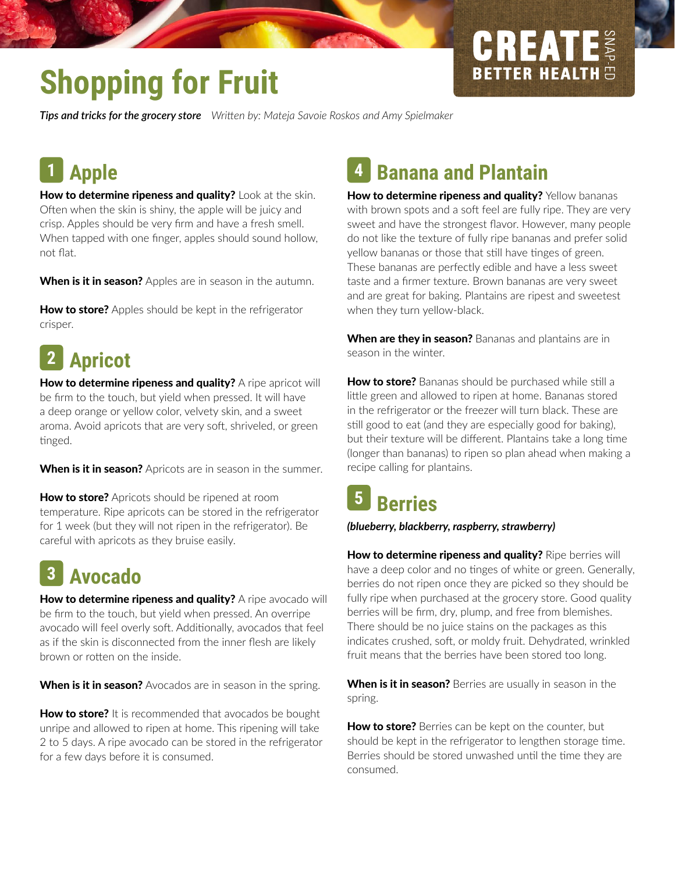# **CREATE BETTER HEALTH**

# **Shopping for Fruit**

*Tips and tricks for the grocery store Writen by: Mateja Savoie Roskos and Amy Spielmaker*

#### **Apple 1**

How to determine ripeness and quality? Look at the skin. Often when the skin is shiny, the apple will be juicy and crisp. Apples should be very frm and have a fresh smell. When tapped with one fnger, apples should sound hollow, not flat.

When is it in season? Apples are in season in the autumn.

**How to store?** Apples should be kept in the refrigerator crisper.

#### **Apricot 2**

How to determine ripeness and quality? A ripe apricot will be frm to the touch, but yield when pressed. It will have a deep orange or yellow color, velvety skin, and a sweet aroma. Avoid apricots that are very soft, shriveled, or green tinged.

When is it in season? Apricots are in season in the summer.

How to store? Apricots should be ripened at room temperature. Ripe apricots can be stored in the refrigerator for 1 week (but they will not ripen in the refrigerator). Be careful with apricots as they bruise easily.

#### **Avocado 3**

How to determine ripeness and quality? A ripe avocado will be frm to the touch, but yield when pressed. An overripe avocado will feel overly soft. Additionally, avocados that feel as if the skin is disconnected from the inner fesh are likely brown or rotten on the inside.

When is it in season? Avocados are in season in the spring.

How to store? It is recommended that avocados be bought unripe and allowed to ripen at home. This ripening will take 2 to 5 days. A ripe avocado can be stored in the refrigerator for a few days before it is consumed.

#### **Banana and Plantain 4**

How to determine ripeness and quality? Yellow bananas with brown spots and a soft feel are fully ripe. They are very sweet and have the strongest favor. However, many people do not like the texture of fully ripe bananas and prefer solid yellow bananas or those that still have tinges of green. These bananas are perfectly edible and have a less sweet taste and a frmer texture. Brown bananas are very sweet and are great for baking. Plantains are ripest and sweetest when they turn yellow-black.

When are they in season? Bananas and plantains are in season in the winter.

How to store? Bananas should be purchased while still a litle green and allowed to ripen at home. Bananas stored in the refrigerator or the freezer will turn black. These are still good to eat (and they are especially good for baking), but their texture will be different. Plantains take a long time (longer than bananas) to ripen so plan ahead when making a recipe calling for plantains.

#### **Berries 5**

*(blueberry, blackberry, raspberry, strawberry)*

How to determine ripeness and quality? Ripe berries will have a deep color and no tinges of white or green. Generally, berries do not ripen once they are picked so they should be fully ripe when purchased at the grocery store. Good quality berries will be frm, dry, plump, and free from blemishes. There should be no juice stains on the packages as this indicates crushed, soft, or moldy fruit. Dehydrated, wrinkled fruit means that the berries have been stored too long.

When is it in season? Berries are usually in season in the spring.

How to store? Berries can be kept on the counter, but should be kept in the refrigerator to lengthen storage time. Berries should be stored unwashed until the time they are consumed.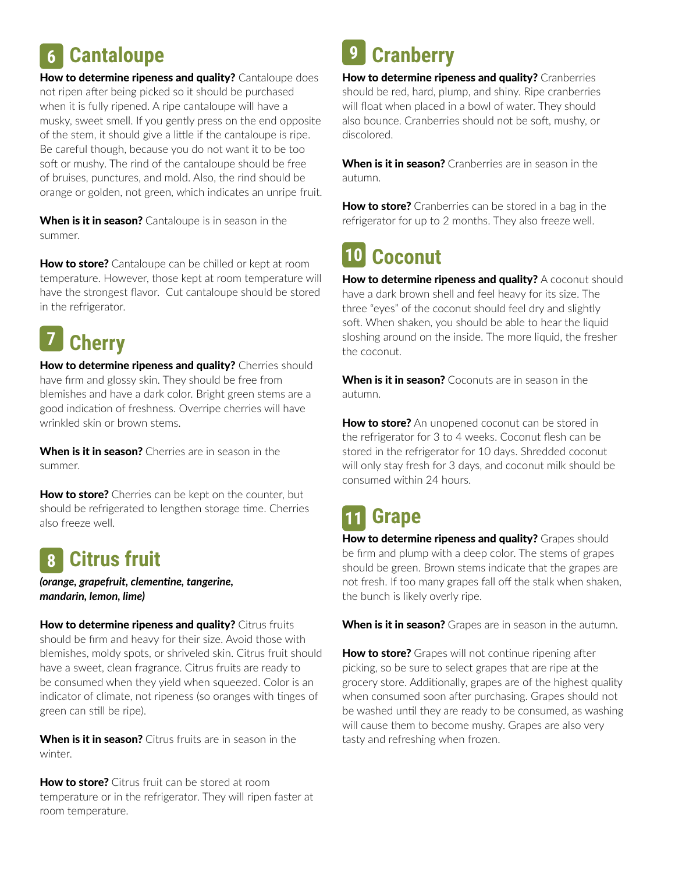## **6 Cantaloupe Cantaloupe Cranberry**

How to determine ripeness and quality? Cantaloupe does not ripen after being picked so it should be purchased when it is fully ripened. A ripe cantaloupe will have a musky, sweet smell. If you gently press on the end opposite of the stem, it should give a litle if the cantaloupe is ripe. Be careful though, because you do not want it to be too soft or mushy. The rind of the cantaloupe should be free of bruises, punctures, and mold. Also, the rind should be orange or golden, not green, which indicates an unripe fruit.

When is it in season? Cantaloupe is in season in the summer.

**How to store?** Cantaloupe can be chilled or kept at room temperature. However, those kept at room temperature will have the strongest favor. Cut cantaloupe should be stored in the refrigerator.

#### **7 Cherry**

How to determine ripeness and quality? Cherries should have frm and glossy skin. They should be free from blemishes and have a dark color. Bright green stems are a good indicaton of freshness. Overripe cherries will have wrinkled skin or brown stems.

When is it in season? Cherries are in season in the summer.

**How to store?** Cherries can be kept on the counter, but should be refrigerated to lengthen storage time. Cherries also freeze well.

#### **8 Citrus fruit**

*(orange, grapefruit, clementne, tangerine, mandarin, lemon, lime)*

How to determine ripeness and quality? Citrus fruits should be frm and heavy for their size. Avoid those with blemishes, moldy spots, or shriveled skin. Citrus fruit should have a sweet, clean fragrance. Citrus fruits are ready to be consumed when they yield when squeezed. Color is an indicator of climate, not ripeness (so oranges with tinges of green can still be ripe).

When is it in season? Citrus fruits are in season in the winter.

**How to store?** Citrus fruit can be stored at room temperature or in the refrigerator. They will ripen faster at room temperature.

### **9**

How to determine ripeness and quality? Cranberries should be red, hard, plump, and shiny. Ripe cranberries will foat when placed in a bowl of water. They should also bounce. Cranberries should not be soft, mushy, or discolored.

When is it in season? Cranberries are in season in the autumn.

How to store? Cranberries can be stored in a bag in the refrigerator for up to 2 months. They also freeze well.

#### **Coconut 10**

How to determine ripeness and quality? A coconut should have a dark brown shell and feel heavy for its size. The three "eyes" of the coconut should feel dry and slightly soft. When shaken, you should be able to hear the liquid sloshing around on the inside. The more liquid, the fresher the coconut.

When is it in season? Coconuts are in season in the autumn.

How to store? An unopened coconut can be stored in the refrigerator for 3 to 4 weeks. Coconut flesh can be stored in the refrigerator for 10 days. Shredded coconut will only stay fresh for 3 days, and coconut milk should be consumed within 24 hours.

#### **Grape 11**

How to determine ripeness and quality? Grapes should be frm and plump with a deep color. The stems of grapes should be green. Brown stems indicate that the grapes are not fresh. If too many grapes fall off the stalk when shaken, the bunch is likely overly ripe.

When is it in season? Grapes are in season in the autumn.

How to store? Grapes will not continue ripening after picking, so be sure to select grapes that are ripe at the grocery store. Additonally, grapes are of the highest quality when consumed soon after purchasing. Grapes should not be washed until they are ready to be consumed, as washing will cause them to become mushy. Grapes are also very tasty and refreshing when frozen.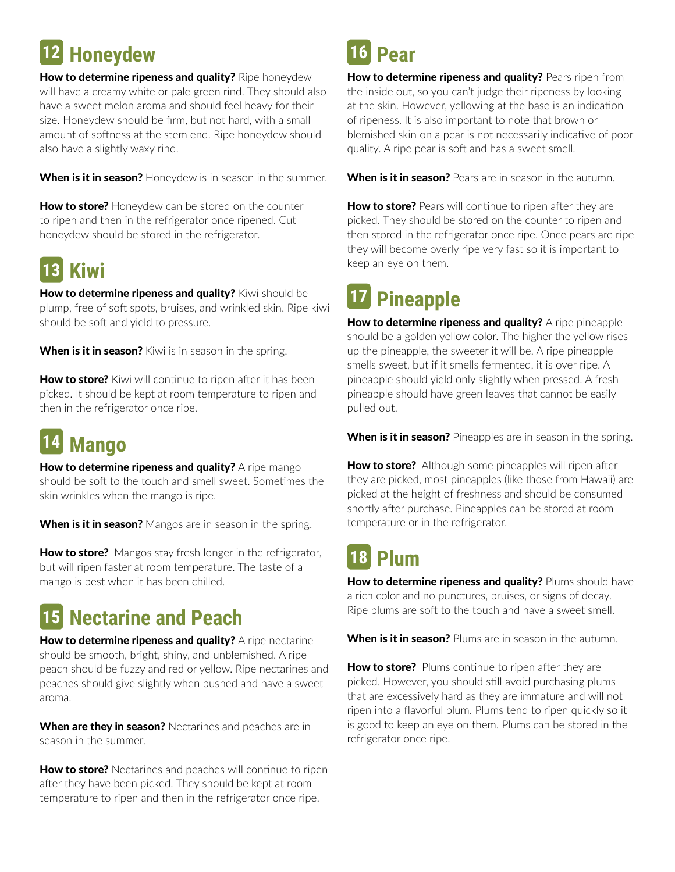# **Honeydew 12 16**

How to determine ripeness and quality? Ripe honeydew will have a creamy white or pale green rind. They should also have a sweet melon aroma and should feel heavy for their size. Honeydew should be frm, but not hard, with a small amount of softness at the stem end. Ripe honeydew should also have a slightly waxy rind.

When is it in season? Honeydew is in season in the summer.

How to store? Honeydew can be stored on the counter to ripen and then in the refrigerator once ripened. Cut honeydew should be stored in the refrigerator.

#### **Kiwi 13**

How to determine ripeness and quality? Kiwi should be plump, free of soft spots, bruises, and wrinkled skin. Ripe kiwi should be soft and yield to pressure.

**When is it in season?** Kiwi is in season in the spring.

How to store? Kiwi will continue to ripen after it has been picked. It should be kept at room temperature to ripen and then in the refrigerator once ripe.

#### **Mango 14**

How to determine ripeness and quality? A ripe mango should be soft to the touch and smell sweet. Sometimes the skin wrinkles when the mango is ripe.

When is it in season? Mangos are in season in the spring.

**How to store?** Mangos stay fresh longer in the refrigerator, but will ripen faster at room temperature. The taste of a mango is best when it has been chilled.

### **Nectarine and Peach 15**

How to determine ripeness and quality? A ripe nectarine should be smooth, bright, shiny, and unblemished. A ripe peach should be fuzzy and red or yellow. Ripe nectarines and peaches should give slightly when pushed and have a sweet aroma.

When are they in season? Nectarines and peaches are in season in the summer.

How to store? Nectarines and peaches will continue to ripen after they have been picked. They should be kept at room temperature to ripen and then in the refrigerator once ripe.

## **Pear**

How to determine ripeness and quality? Pears ripen from the inside out, so you can't judge their ripeness by looking at the skin. However, yellowing at the base is an indicaton of ripeness. It is also important to note that brown or blemished skin on a pear is not necessarily indicative of poor quality. A ripe pear is soft and has a sweet smell.

When is it in season? Pears are in season in the autumn.

How to store? Pears will continue to ripen after they are picked. They should be stored on the counter to ripen and then stored in the refrigerator once ripe. Once pears are ripe they will become overly ripe very fast so it is important to keep an eye on them.

# **17 Pineapple**

How to determine ripeness and quality? A ripe pineapple should be a golden yellow color. The higher the yellow rises up the pineapple, the sweeter it will be. A ripe pineapple smells sweet, but if it smells fermented, it is over ripe. A pineapple should yield only slightly when pressed. A fresh pineapple should have green leaves that cannot be easily pulled out.

When is it in season? Pineapples are in season in the spring.

How to store? Although some pineapples will ripen after they are picked, most pineapples (like those from Hawaii) are picked at the height of freshness and should be consumed shortly after purchase. Pineapples can be stored at room temperature or in the refrigerator.

#### **Plum 18**

How to determine ripeness and quality? Plums should have a rich color and no punctures, bruises, or signs of decay. Ripe plums are soft to the touch and have a sweet smell.

When is it in season? Plums are in season in the autumn.

How to store? Plums continue to ripen after they are picked. However, you should still avoid purchasing plums that are excessively hard as they are immature and will not ripen into a favorful plum. Plums tend to ripen quickly so it is good to keep an eye on them. Plums can be stored in the refrigerator once ripe.